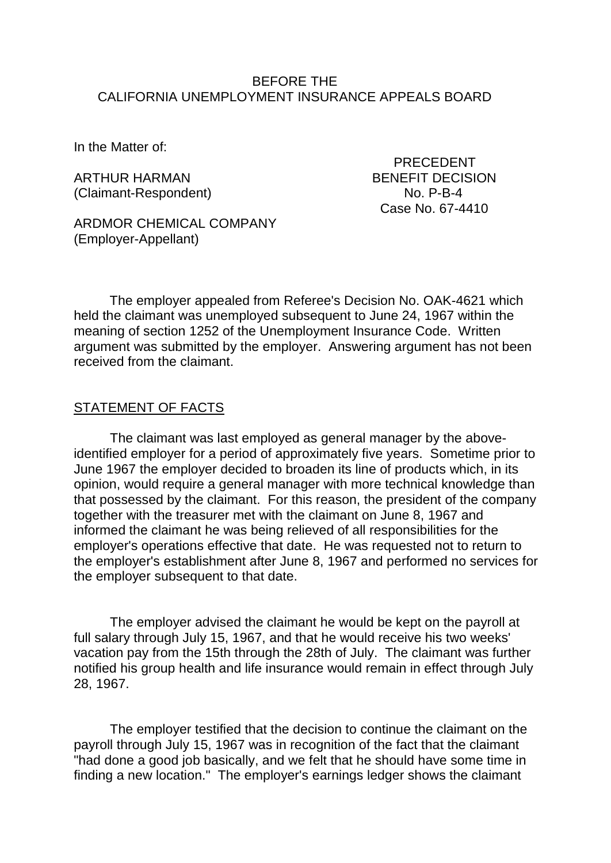#### BEFORE THE CALIFORNIA UNEMPLOYMENT INSURANCE APPEALS BOARD

In the Matter of:

ARTHUR HARMAN BENEFIT DECISION (Claimant-Respondent) No. P-B-4

PRECEDENT Case No. 67-4410

ARDMOR CHEMICAL COMPANY (Employer-Appellant)

The employer appealed from Referee's Decision No. OAK-4621 which held the claimant was unemployed subsequent to June 24, 1967 within the meaning of section 1252 of the Unemployment Insurance Code. Written argument was submitted by the employer. Answering argument has not been received from the claimant.

#### STATEMENT OF FACTS

The claimant was last employed as general manager by the aboveidentified employer for a period of approximately five years. Sometime prior to June 1967 the employer decided to broaden its line of products which, in its opinion, would require a general manager with more technical knowledge than that possessed by the claimant. For this reason, the president of the company together with the treasurer met with the claimant on June 8, 1967 and informed the claimant he was being relieved of all responsibilities for the employer's operations effective that date. He was requested not to return to the employer's establishment after June 8, 1967 and performed no services for the employer subsequent to that date.

The employer advised the claimant he would be kept on the payroll at full salary through July 15, 1967, and that he would receive his two weeks' vacation pay from the 15th through the 28th of July. The claimant was further notified his group health and life insurance would remain in effect through July 28, 1967.

The employer testified that the decision to continue the claimant on the payroll through July 15, 1967 was in recognition of the fact that the claimant "had done a good job basically, and we felt that he should have some time in finding a new location." The employer's earnings ledger shows the claimant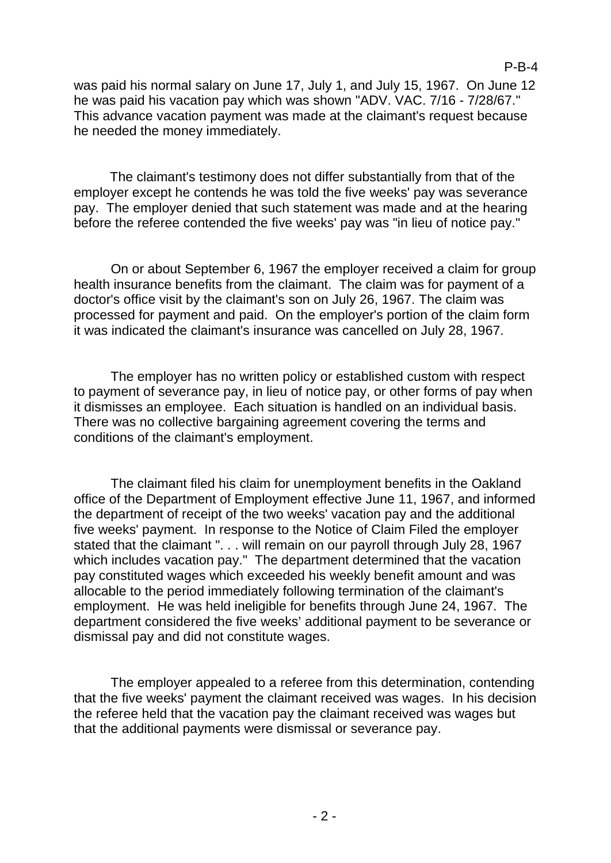was paid his normal salary on June 17, July 1, and July 15, 1967. On June 12 he was paid his vacation pay which was shown "ADV. VAC. 7/16 - 7/28/67." This advance vacation payment was made at the claimant's request because he needed the money immediately.

The claimant's testimony does not differ substantially from that of the employer except he contends he was told the five weeks' pay was severance pay. The employer denied that such statement was made and at the hearing before the referee contended the five weeks' pay was "in lieu of notice pay."

On or about September 6, 1967 the employer received a claim for group health insurance benefits from the claimant. The claim was for payment of a doctor's office visit by the claimant's son on July 26, 1967. The claim was processed for payment and paid. On the employer's portion of the claim form it was indicated the claimant's insurance was cancelled on July 28, 1967.

The employer has no written policy or established custom with respect to payment of severance pay, in lieu of notice pay, or other forms of pay when it dismisses an employee. Each situation is handled on an individual basis. There was no collective bargaining agreement covering the terms and conditions of the claimant's employment.

The claimant filed his claim for unemployment benefits in the Oakland office of the Department of Employment effective June 11, 1967, and informed the department of receipt of the two weeks' vacation pay and the additional five weeks' payment. In response to the Notice of Claim Filed the employer stated that the claimant ". . . will remain on our payroll through July 28, 1967 which includes vacation pay." The department determined that the vacation pay constituted wages which exceeded his weekly benefit amount and was allocable to the period immediately following termination of the claimant's employment. He was held ineligible for benefits through June 24, 1967. The department considered the five weeks' additional payment to be severance or dismissal pay and did not constitute wages.

The employer appealed to a referee from this determination, contending that the five weeks' payment the claimant received was wages. In his decision the referee held that the vacation pay the claimant received was wages but that the additional payments were dismissal or severance pay.

P-B-4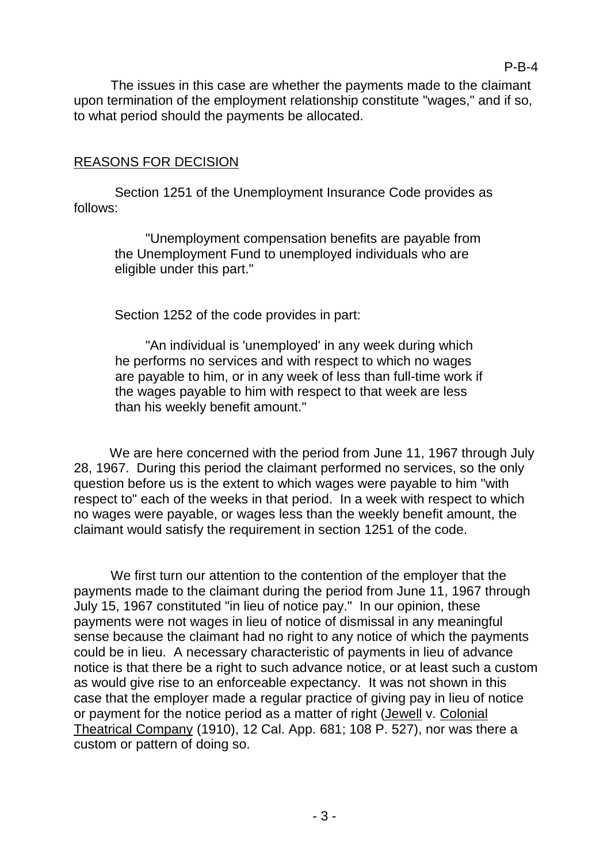The issues in this case are whether the payments made to the claimant upon termination of the employment relationship constitute "wages," and if so, to what period should the payments be allocated.

## REASONS FOR DECISION

Section 1251 of the Unemployment Insurance Code provides as follows:

"Unemployment compensation benefits are payable from the Unemployment Fund to unemployed individuals who are eligible under this part."

Section 1252 of the code provides in part:

"An individual is 'unemployed' in any week during which he performs no services and with respect to which no wages are payable to him, or in any week of less than full-time work if the wages payable to him with respect to that week are less than his weekly benefit amount."

We are here concerned with the period from June 11, 1967 through July 28, 1967. During this period the claimant performed no services, so the only question before us is the extent to which wages were payable to him "with respect to" each of the weeks in that period. In a week with respect to which no wages were payable, or wages less than the weekly benefit amount, the claimant would satisfy the requirement in section 1251 of the code.

We first turn our attention to the contention of the employer that the payments made to the claimant during the period from June 11, 1967 through July 15, 1967 constituted "in lieu of notice pay." In our opinion, these payments were not wages in lieu of notice of dismissal in any meaningful sense because the claimant had no right to any notice of which the payments could be in lieu. A necessary characteristic of payments in lieu of advance notice is that there be a right to such advance notice, or at least such a custom as would give rise to an enforceable expectancy. It was not shown in this case that the employer made a regular practice of giving pay in lieu of notice or payment for the notice period as a matter of right (Jewell v. Colonial Theatrical Company (1910), 12 Cal. App. 681; 108 P. 527), nor was there a custom or pattern of doing so.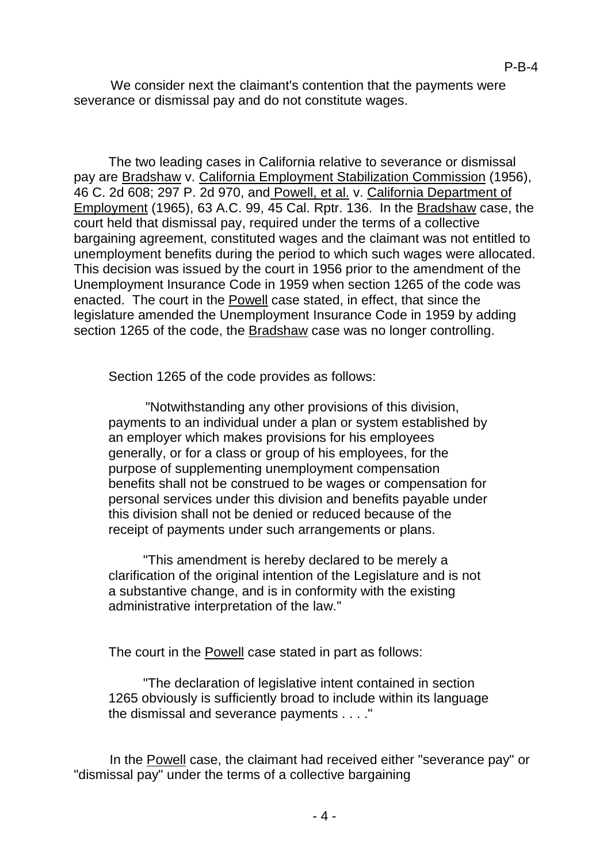We consider next the claimant's contention that the payments were severance or dismissal pay and do not constitute wages.

The two leading cases in California relative to severance or dismissal pay are Bradshaw v. California Employment Stabilization Commission (1956), 46 C. 2d 608; 297 P. 2d 970, and Powell, et al. v. California Department of Employment (1965), 63 A.C. 99, 45 Cal. Rptr. 136. In the Bradshaw case, the court held that dismissal pay, required under the terms of a collective bargaining agreement, constituted wages and the claimant was not entitled to unemployment benefits during the period to which such wages were allocated. This decision was issued by the court in 1956 prior to the amendment of the Unemployment Insurance Code in 1959 when section 1265 of the code was enacted. The court in the Powell case stated, in effect, that since the legislature amended the Unemployment Insurance Code in 1959 by adding section 1265 of the code, the Bradshaw case was no longer controlling.

Section 1265 of the code provides as follows:

"Notwithstanding any other provisions of this division, payments to an individual under a plan or system established by an employer which makes provisions for his employees generally, or for a class or group of his employees, for the purpose of supplementing unemployment compensation benefits shall not be construed to be wages or compensation for personal services under this division and benefits payable under this division shall not be denied or reduced because of the receipt of payments under such arrangements or plans.

"This amendment is hereby declared to be merely a clarification of the original intention of the Legislature and is not a substantive change, and is in conformity with the existing administrative interpretation of the law."

The court in the **Powell** case stated in part as follows:

"The declaration of legislative intent contained in section 1265 obviously is sufficiently broad to include within its language the dismissal and severance payments . . . ."

In the Powell case, the claimant had received either "severance pay" or "dismissal pay" under the terms of a collective bargaining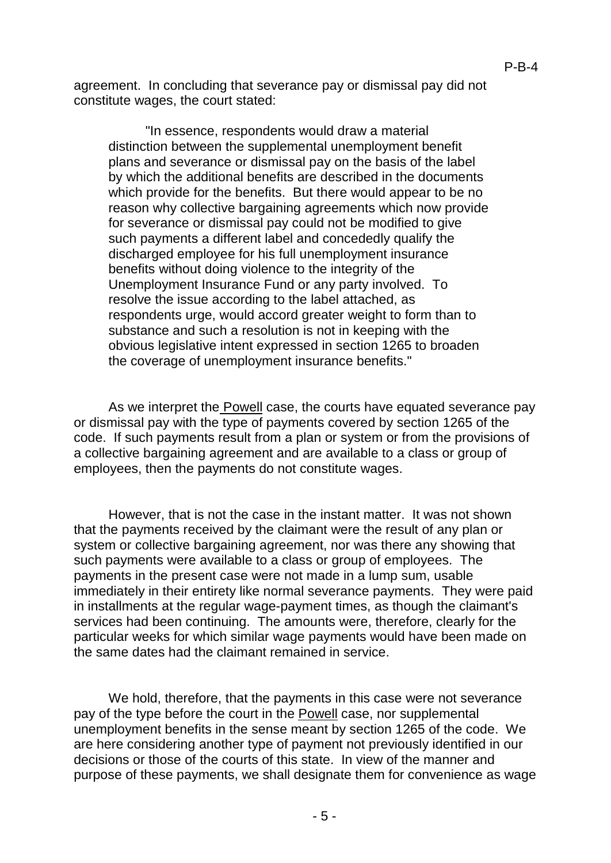agreement. In concluding that severance pay or dismissal pay did not constitute wages, the court stated:

"In essence, respondents would draw a material distinction between the supplemental unemployment benefit plans and severance or dismissal pay on the basis of the label by which the additional benefits are described in the documents which provide for the benefits. But there would appear to be no reason why collective bargaining agreements which now provide for severance or dismissal pay could not be modified to give such payments a different label and concededly qualify the discharged employee for his full unemployment insurance benefits without doing violence to the integrity of the Unemployment Insurance Fund or any party involved. To resolve the issue according to the label attached, as respondents urge, would accord greater weight to form than to substance and such a resolution is not in keeping with the obvious legislative intent expressed in section 1265 to broaden the coverage of unemployment insurance benefits."

As we interpret the **Powell** case, the courts have equated severance pay or dismissal pay with the type of payments covered by section 1265 of the code. If such payments result from a plan or system or from the provisions of a collective bargaining agreement and are available to a class or group of employees, then the payments do not constitute wages.

However, that is not the case in the instant matter. It was not shown that the payments received by the claimant were the result of any plan or system or collective bargaining agreement, nor was there any showing that such payments were available to a class or group of employees. The payments in the present case were not made in a lump sum, usable immediately in their entirety like normal severance payments. They were paid in installments at the regular wage-payment times, as though the claimant's services had been continuing. The amounts were, therefore, clearly for the particular weeks for which similar wage payments would have been made on the same dates had the claimant remained in service.

We hold, therefore, that the payments in this case were not severance pay of the type before the court in the Powell case, nor supplemental unemployment benefits in the sense meant by section 1265 of the code. We are here considering another type of payment not previously identified in our decisions or those of the courts of this state. In view of the manner and purpose of these payments, we shall designate them for convenience as wage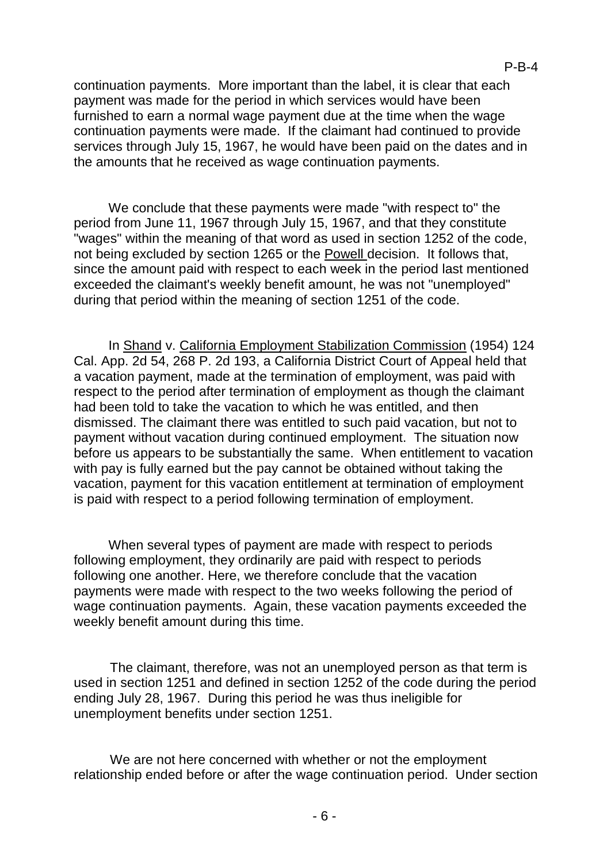continuation payments. More important than the label, it is clear that each payment was made for the period in which services would have been furnished to earn a normal wage payment due at the time when the wage continuation payments were made. If the claimant had continued to provide services through July 15, 1967, he would have been paid on the dates and in the amounts that he received as wage continuation payments.

We conclude that these payments were made "with respect to" the period from June 11, 1967 through July 15, 1967, and that they constitute "wages" within the meaning of that word as used in section 1252 of the code, not being excluded by section 1265 or the Powell decision. It follows that, since the amount paid with respect to each week in the period last mentioned exceeded the claimant's weekly benefit amount, he was not "unemployed" during that period within the meaning of section 1251 of the code.

In Shand v. California Employment Stabilization Commission (1954) 124 Cal. App. 2d 54, 268 P. 2d 193, a California District Court of Appeal held that a vacation payment, made at the termination of employment, was paid with respect to the period after termination of employment as though the claimant had been told to take the vacation to which he was entitled, and then dismissed. The claimant there was entitled to such paid vacation, but not to payment without vacation during continued employment. The situation now before us appears to be substantially the same. When entitlement to vacation with pay is fully earned but the pay cannot be obtained without taking the vacation, payment for this vacation entitlement at termination of employment is paid with respect to a period following termination of employment.

When several types of payment are made with respect to periods following employment, they ordinarily are paid with respect to periods following one another. Here, we therefore conclude that the vacation payments were made with respect to the two weeks following the period of wage continuation payments. Again, these vacation payments exceeded the weekly benefit amount during this time.

The claimant, therefore, was not an unemployed person as that term is used in section 1251 and defined in section 1252 of the code during the period ending July 28, 1967. During this period he was thus ineligible for unemployment benefits under section 1251.

We are not here concerned with whether or not the employment relationship ended before or after the wage continuation period. Under section